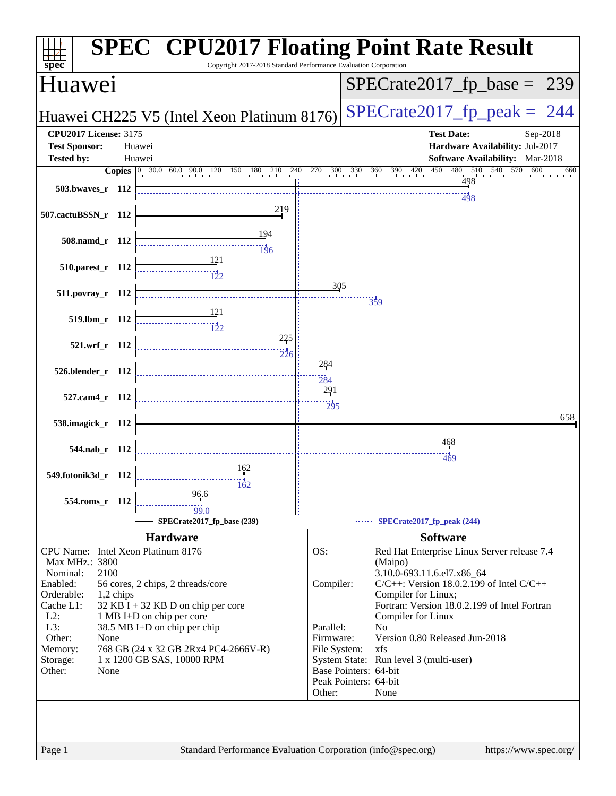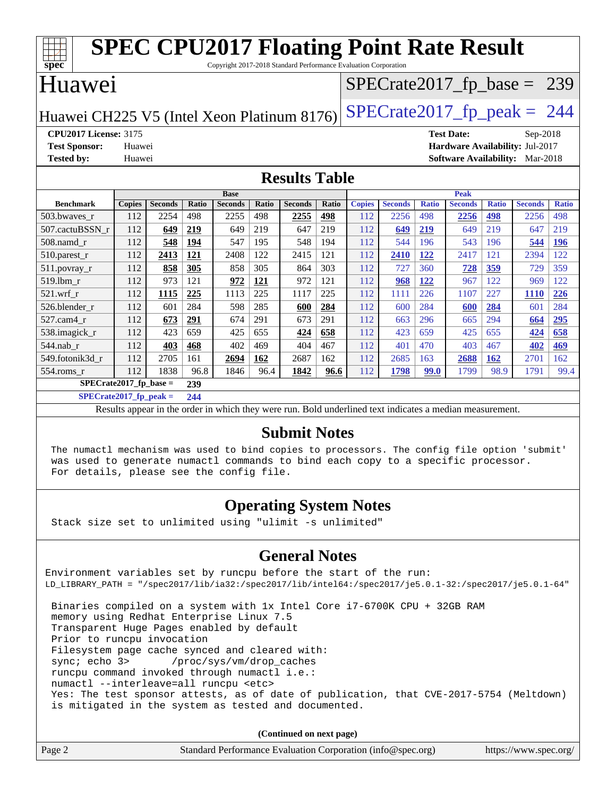| <b>SPEC CPU2017 Floating Point Rate Result</b><br>spec<br>Copyright 2017-2018 Standard Performance Evaluation Corporation |                               |                |       |                |              |                |       |               |                |              |                |              |                                        |              |
|---------------------------------------------------------------------------------------------------------------------------|-------------------------------|----------------|-------|----------------|--------------|----------------|-------|---------------|----------------|--------------|----------------|--------------|----------------------------------------|--------------|
| Huawei                                                                                                                    | $SPECrate2017_fp\_base = 239$ |                |       |                |              |                |       |               |                |              |                |              |                                        |              |
| $SPECTate2017$ _fp_peak = 244<br>Huawei CH225 V5 (Intel Xeon Platinum 8176)                                               |                               |                |       |                |              |                |       |               |                |              |                |              |                                        |              |
| <b>CPU2017 License: 3175</b><br><b>Test Date:</b><br>Sep-2018                                                             |                               |                |       |                |              |                |       |               |                |              |                |              |                                        |              |
| <b>Test Sponsor:</b>                                                                                                      | Huawei                        |                |       |                |              |                |       |               |                |              |                |              | <b>Hardware Availability: Jul-2017</b> |              |
| <b>Tested by:</b>                                                                                                         | Huawei                        |                |       |                |              |                |       |               |                |              |                |              | <b>Software Availability:</b> Mar-2018 |              |
| <b>Results Table</b>                                                                                                      |                               |                |       |                |              |                |       |               |                |              |                |              |                                        |              |
|                                                                                                                           |                               |                |       | <b>Base</b>    |              |                |       |               |                |              | <b>Peak</b>    |              |                                        |              |
| <b>Benchmark</b>                                                                                                          | <b>Copies</b>                 | <b>Seconds</b> | Ratio | <b>Seconds</b> | <b>Ratio</b> | <b>Seconds</b> | Ratio | <b>Copies</b> | <b>Seconds</b> | <b>Ratio</b> | <b>Seconds</b> | <b>Ratio</b> | <b>Seconds</b>                         | <b>Ratio</b> |
| 503.bwayes_r                                                                                                              | 112                           | 2254           | 498   | 2255           | 498          | <u>2255</u>    | 498   | 112           | 2256           | 498          | 2256           | 498          | 2256                                   | 498          |
| 507.cactuBSSN r                                                                                                           | 112                           | 649            | 219   | 649            | 219          | 647            | 219   | 112           | 649            | 219          | 649            | 219          | 647                                    | 219          |
| $508$ .namd $r$                                                                                                           | 112                           | 548            | 194   | 547            | 195          | 548            | 194   | 112           | 544            | 196          | 543            | 196          | 544                                    | 196          |
| 510.parest_r                                                                                                              | 112                           | 2413           | 121   | 2408           | 122          | 2415           | 121   | 112           | 2410           | 122          | 2417           | 121          | 2394                                   | 122          |
| $511.$ povray_r                                                                                                           | 112                           | 858            | 305   | 858            | 305          | 864            | 303   | 112           | 727            | 360          | 728            | 359          | 729                                    | 359          |
| 519.lbm r                                                                                                                 | 112                           | 973            | 121   | 972            | <b>121</b>   | 972            | 121   | 112           | 968            | 122          | 967            | 122          | 969                                    | 122          |
| 521.wrf r                                                                                                                 | 112                           | 1115           | 225   | 1113           | 225          | 1117           | 225   | 112           | 1111           | 226          | 1107           | 227          | <b>1110</b>                            | 226          |
| 526.blender r                                                                                                             | 112                           | 601            | 284   | 598            | 285          | 600            | 284   | 112           | 600            | 284          | 600            | 284          | 601                                    | 284          |
| 527.cam4 r                                                                                                                | 112                           | 673            | 291   | 674            | 291          | 673            | 291   | 112           | 663            | 296          | 665            | 294          | 664                                    | 295          |
| 538.imagick_r                                                                                                             | 112                           | 423            | 659   | 425            | 655          | 424            | 658   | 112           | 423            | 659          | 425            | 655          | 424                                    | 658          |
| 544.nab r                                                                                                                 | 112                           | 403            | 468   | 402            | 469          | 404            | 467   | 112           | 401            | 470          | 403            | 467          | 402                                    | 469          |
| 549.fotonik3d r                                                                                                           | 112                           | 2705           | 161   | 2694           | 162          | 2687           | 162   | 112           | 2685           | 163          | 2688           | <b>162</b>   | 2701                                   | 162          |
| $554$ .roms $r$                                                                                                           | 112                           | 1838           | 96.8  | 1846           | 96.4         | 1842           | 96.6  | 112           | 1798           | <b>99.0</b>  | 1799           | 98.9         | 1791                                   | 99.4         |
| $SPECrate2017_fp\_base =$                                                                                                 |                               |                | 239   |                |              |                |       |               |                |              |                |              |                                        |              |
| $SPECrate2017$ fp peak =                                                                                                  |                               |                | 244   |                |              |                |       |               |                |              |                |              |                                        |              |

Results appear in the [order in which they were run.](http://www.spec.org/auto/cpu2017/Docs/result-fields.html#RunOrder) Bold underlined text [indicates a median measurement.](http://www.spec.org/auto/cpu2017/Docs/result-fields.html#Median)

#### **[Submit Notes](http://www.spec.org/auto/cpu2017/Docs/result-fields.html#SubmitNotes)**

 The numactl mechanism was used to bind copies to processors. The config file option 'submit' was used to generate numactl commands to bind each copy to a specific processor. For details, please see the config file.

#### **[Operating System Notes](http://www.spec.org/auto/cpu2017/Docs/result-fields.html#OperatingSystemNotes)**

Stack size set to unlimited using "ulimit -s unlimited"

#### **[General Notes](http://www.spec.org/auto/cpu2017/Docs/result-fields.html#GeneralNotes)**

Environment variables set by runcpu before the start of the run: LD\_LIBRARY\_PATH = "/spec2017/lib/ia32:/spec2017/lib/intel64:/spec2017/je5.0.1-32:/spec2017/je5.0.1-64" Binaries compiled on a system with 1x Intel Core i7-6700K CPU + 32GB RAM memory using Redhat Enterprise Linux 7.5 Transparent Huge Pages enabled by default Prior to runcpu invocation Filesystem page cache synced and cleared with: sync; echo 3> /proc/sys/vm/drop\_caches

 runcpu command invoked through numactl i.e.: numactl --interleave=all runcpu <etc> Yes: The test sponsor attests, as of date of publication, that CVE-2017-5754 (Meltdown) is mitigated in the system as tested and documented.

**(Continued on next page)**

| Page 2 | Standard Performance Evaluation Corporation (info@spec.org) | https://www.spec.org/ |
|--------|-------------------------------------------------------------|-----------------------|
|--------|-------------------------------------------------------------|-----------------------|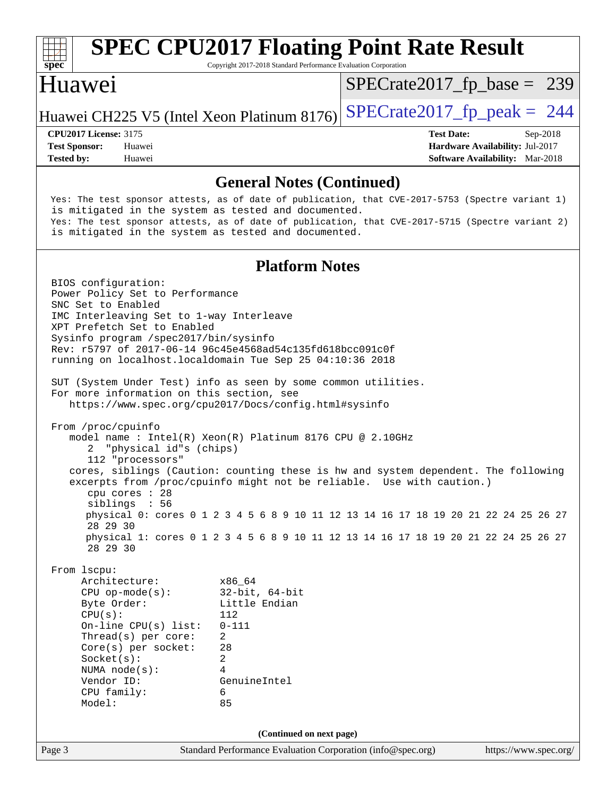| $s\overline{p}\overline{e}\overline{c}$                                                      |                                                                                                                                                                                                                                                                                   | Copyright 2017-2018 Standard Performance Evaluation Corporation                                                                                                                                                                                                                                                | <b>SPEC CPU2017 Floating Point Rate Result</b>                                                                                                                                                                                                                                                                                            |                                                                           |
|----------------------------------------------------------------------------------------------|-----------------------------------------------------------------------------------------------------------------------------------------------------------------------------------------------------------------------------------------------------------------------------------|----------------------------------------------------------------------------------------------------------------------------------------------------------------------------------------------------------------------------------------------------------------------------------------------------------------|-------------------------------------------------------------------------------------------------------------------------------------------------------------------------------------------------------------------------------------------------------------------------------------------------------------------------------------------|---------------------------------------------------------------------------|
| Huawei                                                                                       |                                                                                                                                                                                                                                                                                   |                                                                                                                                                                                                                                                                                                                | $SPECrate2017_fp\_base = 239$                                                                                                                                                                                                                                                                                                             |                                                                           |
|                                                                                              |                                                                                                                                                                                                                                                                                   | Huawei CH225 V5 (Intel Xeon Platinum 8176)                                                                                                                                                                                                                                                                     | $SPECrate2017fp peak = 244$                                                                                                                                                                                                                                                                                                               |                                                                           |
| <b>CPU2017 License: 3175</b>                                                                 |                                                                                                                                                                                                                                                                                   |                                                                                                                                                                                                                                                                                                                | <b>Test Date:</b>                                                                                                                                                                                                                                                                                                                         | Sep-2018                                                                  |
| <b>Test Sponsor:</b><br><b>Tested by:</b>                                                    | Huawei<br>Huawei                                                                                                                                                                                                                                                                  |                                                                                                                                                                                                                                                                                                                |                                                                                                                                                                                                                                                                                                                                           | Hardware Availability: Jul-2017<br><b>Software Availability:</b> Mar-2018 |
|                                                                                              |                                                                                                                                                                                                                                                                                   | <b>General Notes (Continued)</b>                                                                                                                                                                                                                                                                               |                                                                                                                                                                                                                                                                                                                                           |                                                                           |
|                                                                                              |                                                                                                                                                                                                                                                                                   | is mitigated in the system as tested and documented.<br>is mitigated in the system as tested and documented.                                                                                                                                                                                                   | Yes: The test sponsor attests, as of date of publication, that CVE-2017-5753 (Spectre variant 1)<br>Yes: The test sponsor attests, as of date of publication, that CVE-2017-5715 (Spectre variant 2)                                                                                                                                      |                                                                           |
|                                                                                              |                                                                                                                                                                                                                                                                                   | <b>Platform Notes</b>                                                                                                                                                                                                                                                                                          |                                                                                                                                                                                                                                                                                                                                           |                                                                           |
| BIOS configuration:<br>SNC Set to Enabled<br>From /proc/cpuinfo<br>2<br>28 29 30<br>28 29 30 | Power Policy Set to Performance<br>IMC Interleaving Set to 1-way Interleave<br>XPT Prefetch Set to Enabled<br>Sysinfo program /spec2017/bin/sysinfo<br>For more information on this section, see<br>"physical id"s (chips)<br>112 "processors"<br>cpu cores : 28<br>siblings : 56 | Rev: r5797 of 2017-06-14 96c45e4568ad54c135fd618bcc091c0f<br>running on localhost.localdomain Tue Sep 25 04:10:36 2018<br>SUT (System Under Test) info as seen by some common utilities.<br>https://www.spec.org/cpu2017/Docs/config.html#sysinfo<br>model name : Intel(R) Xeon(R) Platinum 8176 CPU @ 2.10GHz | cores, siblings (Caution: counting these is hw and system dependent. The following<br>excerpts from /proc/cpuinfo might not be reliable. Use with caution.)<br>physical 0: cores 0 1 2 3 4 5 6 8 9 10 11 12 13 14 16 17 18 19 20 21 22 24 25 26 27<br>physical 1: cores 0 1 2 3 4 5 6 8 9 10 11 12 13 14 16 17 18 19 20 21 22 24 25 26 27 |                                                                           |
| From 1scpu:<br>Byte Order:<br>CPU(s):<br>Socket(s):<br>Vendor ID:<br>CPU family:<br>Model:   | Architecture:<br>$CPU$ op-mode(s):<br>On-line $CPU(s)$ list:<br>Thread(s) per core:<br>Core(s) per socket:<br>NUMA node(s):                                                                                                                                                       | x86_64<br>$32$ -bit, $64$ -bit<br>Little Endian<br>112<br>$0 - 111$<br>$\overline{2}$<br>28<br>$\overline{a}$<br>4<br>GenuineIntel<br>6<br>85                                                                                                                                                                  |                                                                                                                                                                                                                                                                                                                                           |                                                                           |
|                                                                                              |                                                                                                                                                                                                                                                                                   | (Continued on next page)                                                                                                                                                                                                                                                                                       |                                                                                                                                                                                                                                                                                                                                           |                                                                           |
| Page 3                                                                                       |                                                                                                                                                                                                                                                                                   | Standard Performance Evaluation Corporation (info@spec.org)                                                                                                                                                                                                                                                    |                                                                                                                                                                                                                                                                                                                                           | https://www.spec.org/                                                     |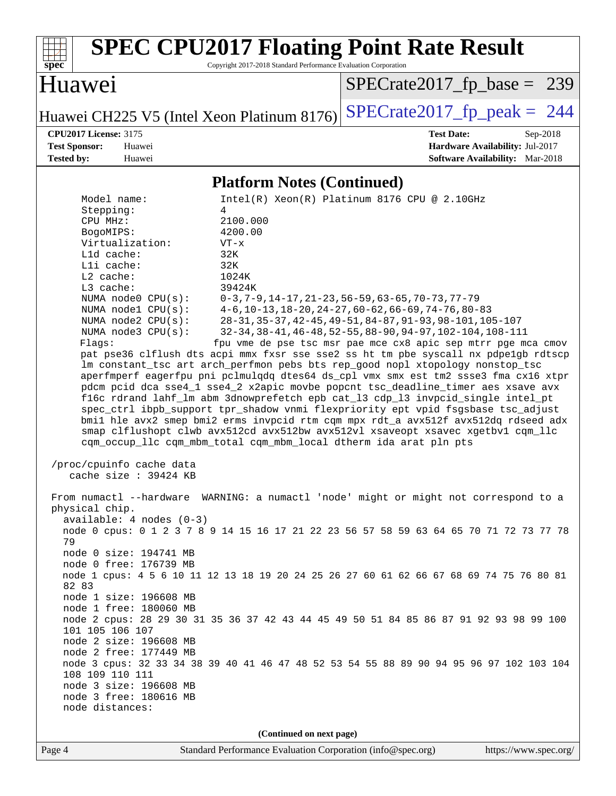

 physical chip. available: 4 nodes (0-3) node 0 cpus: 0 1 2 3 7 8 9 14 15 16 17 21 22 23 56 57 58 59 63 64 65 70 71 72 73 77 78 79 node 0 size: 194741 MB node 0 free: 176739 MB node 1 cpus: 4 5 6 10 11 12 13 18 19 20 24 25 26 27 60 61 62 66 67 68 69 74 75 76 80 81 82 83 node 1 size: 196608 MB node 1 free: 180060 MB node 2 cpus: 28 29 30 31 35 36 37 42 43 44 45 49 50 51 84 85 86 87 91 92 93 98 99 100 101 105 106 107 node 2 size: 196608 MB node 2 free: 177449 MB node 3 cpus: 32 33 34 38 39 40 41 46 47 48 52 53 54 55 88 89 90 94 95 96 97 102 103 104 108 109 110 111 node 3 size: 196608 MB node 3 free: 180616 MB node distances:

**(Continued on next page)**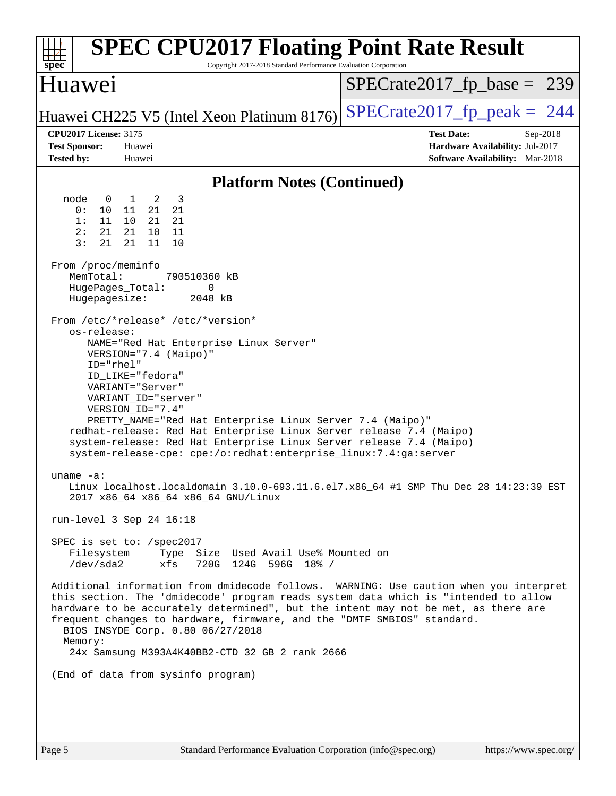| <b>SPEC CPU2017 Floating Point Rate Result</b><br>Copyright 2017-2018 Standard Performance Evaluation Corporation<br>$spec^*$                                                                                                                                                                                                                                                                                                                                                                                                                                                                                                                                                                                                                                                                                                                                                                                                                                                                                                                                                                                                                                                                                                                                                                                                                                                                                                                                                                                                                                                                                                   |                                                                                                            |
|---------------------------------------------------------------------------------------------------------------------------------------------------------------------------------------------------------------------------------------------------------------------------------------------------------------------------------------------------------------------------------------------------------------------------------------------------------------------------------------------------------------------------------------------------------------------------------------------------------------------------------------------------------------------------------------------------------------------------------------------------------------------------------------------------------------------------------------------------------------------------------------------------------------------------------------------------------------------------------------------------------------------------------------------------------------------------------------------------------------------------------------------------------------------------------------------------------------------------------------------------------------------------------------------------------------------------------------------------------------------------------------------------------------------------------------------------------------------------------------------------------------------------------------------------------------------------------------------------------------------------------|------------------------------------------------------------------------------------------------------------|
| Huawei                                                                                                                                                                                                                                                                                                                                                                                                                                                                                                                                                                                                                                                                                                                                                                                                                                                                                                                                                                                                                                                                                                                                                                                                                                                                                                                                                                                                                                                                                                                                                                                                                          | $SPECrate2017_fp\_base = 239$                                                                              |
| Huawei CH225 V5 (Intel Xeon Platinum 8176)                                                                                                                                                                                                                                                                                                                                                                                                                                                                                                                                                                                                                                                                                                                                                                                                                                                                                                                                                                                                                                                                                                                                                                                                                                                                                                                                                                                                                                                                                                                                                                                      | $SPECTate2017$ _fp_peak = 244                                                                              |
| <b>CPU2017 License: 3175</b><br><b>Test Sponsor:</b><br>Huawei<br><b>Tested by:</b><br>Huawei                                                                                                                                                                                                                                                                                                                                                                                                                                                                                                                                                                                                                                                                                                                                                                                                                                                                                                                                                                                                                                                                                                                                                                                                                                                                                                                                                                                                                                                                                                                                   | <b>Test Date:</b><br>Sep-2018<br>Hardware Availability: Jul-2017<br><b>Software Availability:</b> Mar-2018 |
| <b>Platform Notes (Continued)</b>                                                                                                                                                                                                                                                                                                                                                                                                                                                                                                                                                                                                                                                                                                                                                                                                                                                                                                                                                                                                                                                                                                                                                                                                                                                                                                                                                                                                                                                                                                                                                                                               |                                                                                                            |
| $\overline{3}$<br>node<br>$\overline{\phantom{0}}^2$<br>$\overline{0}$<br>$\mathbf{1}$<br>0:<br>10<br>21<br>21<br>11<br>1:<br>11<br>10<br>21<br>21<br>2:<br>21<br>21<br>10<br>11<br>3:<br>21<br>21<br>11<br>10<br>From /proc/meminfo<br>MemTotal:<br>790510360 kB<br>HugePages_Total:<br>0<br>Hugepagesize:<br>2048 kB<br>From /etc/*release* /etc/*version*<br>os-release:<br>NAME="Red Hat Enterprise Linux Server"<br>VERSION="7.4 (Maipo)"<br>ID="rhel"<br>ID LIKE="fedora"<br>VARIANT="Server"<br>VARIANT_ID="server"<br>VERSION_ID="7.4"<br>PRETTY_NAME="Red Hat Enterprise Linux Server 7.4 (Maipo)"<br>redhat-release: Red Hat Enterprise Linux Server release 7.4 (Maipo)<br>system-release: Red Hat Enterprise Linux Server release 7.4 (Maipo)<br>system-release-cpe: cpe:/o:redhat:enterprise_linux:7.4:ga:server<br>uname $-a$ :<br>Linux localhost.localdomain 3.10.0-693.11.6.el7.x86_64 #1 SMP Thu Dec 28 14:23:39 EST<br>2017 x86_64 x86_64 x86_64 GNU/Linux<br>run-level 3 Sep 24 16:18<br>SPEC is set to: /spec2017<br>Filesystem Type Size Used Avail Use% Mounted on<br>xfs<br>720G 124G 596G 18% /<br>/dev/sda2<br>Additional information from dmidecode follows. WARNING: Use caution when you interpret<br>this section. The 'dmidecode' program reads system data which is "intended to allow<br>hardware to be accurately determined", but the intent may not be met, as there are<br>frequent changes to hardware, firmware, and the "DMTF SMBIOS" standard.<br>BIOS INSYDE Corp. 0.80 06/27/2018<br>Memory:<br>24x Samsung M393A4K40BB2-CTD 32 GB 2 rank 2666<br>(End of data from sysinfo program) |                                                                                                            |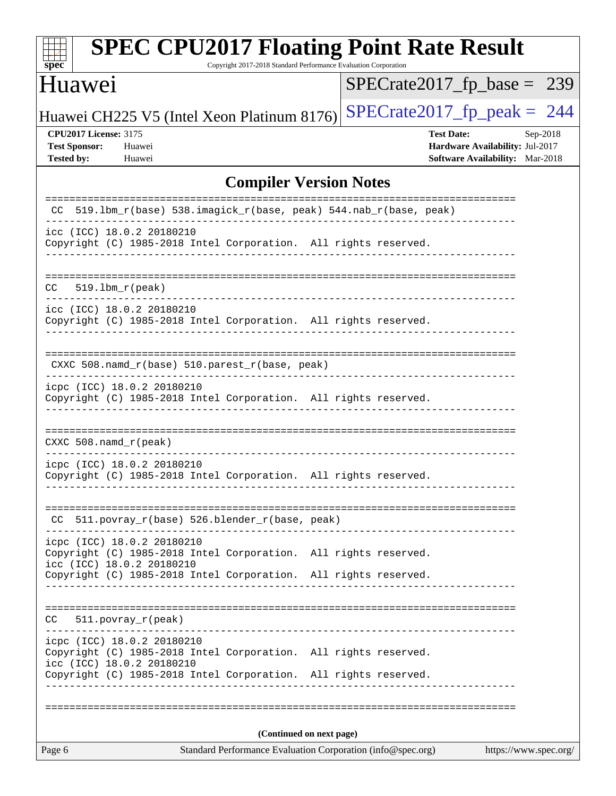| $SPECrate2017_fp\_base = 239$<br>$SPECTate2017$ _fp_peak = 244<br>Huawei CH225 V5 (Intel Xeon Platinum 8176)<br><b>CPU2017 License: 3175</b><br><b>Test Date:</b><br>Sep-2018<br><b>Test Sponsor:</b><br>Huawei<br>Hardware Availability: Jul-2017<br><b>Tested by:</b><br>Huawei<br><b>Software Availability:</b> Mar-2018<br><b>Compiler Version Notes</b><br>519.1bm_r(base) 538.imagick_r(base, peak) 544.nab_r(base, peak)<br>CC.<br>icc (ICC) 18.0.2 20180210<br>Copyright (C) 1985-2018 Intel Corporation. All rights reserved.<br>$519.1$ bm $r$ (peak)<br>CC.<br>icc (ICC) 18.0.2 20180210<br>Copyright (C) 1985-2018 Intel Corporation. All rights reserved.<br>CXXC 508.namd_r(base) 510.parest_r(base, peak)<br>icpc (ICC) 18.0.2 20180210<br>Copyright (C) 1985-2018 Intel Corporation. All rights reserved.<br>CXXC $508$ . namd $r$ (peak)<br>icpc (ICC) 18.0.2 20180210<br>Copyright (C) 1985-2018 Intel Corporation. All rights reserved.<br>CC 511.povray_r(base) 526.blender_r(base, peak)<br>-----------<br>icpc (ICC) 18.0.2 20180210<br>Copyright (C) 1985-2018 Intel Corporation. All rights reserved.<br>icc (ICC) 18.0.2 20180210<br>Copyright (C) 1985-2018 Intel Corporation. All rights reserved.<br>CC.<br>$511. povray_r (peak)$<br>icpc (ICC) 18.0.2 20180210<br>Copyright (C) 1985-2018 Intel Corporation. All rights reserved.<br>icc (ICC) 18.0.2 20180210<br>Copyright (C) 1985-2018 Intel Corporation. All rights reserved.<br>(Continued on next page)<br>Page 6<br>Standard Performance Evaluation Corporation (info@spec.org)<br>https://www.spec.org/ | <b>SPEC CPU2017 Floating Point Rate Result</b><br>spec <sup>®</sup> | Copyright 2017-2018 Standard Performance Evaluation Corporation |  |  |  |  |  |
|-----------------------------------------------------------------------------------------------------------------------------------------------------------------------------------------------------------------------------------------------------------------------------------------------------------------------------------------------------------------------------------------------------------------------------------------------------------------------------------------------------------------------------------------------------------------------------------------------------------------------------------------------------------------------------------------------------------------------------------------------------------------------------------------------------------------------------------------------------------------------------------------------------------------------------------------------------------------------------------------------------------------------------------------------------------------------------------------------------------------------------------------------------------------------------------------------------------------------------------------------------------------------------------------------------------------------------------------------------------------------------------------------------------------------------------------------------------------------------------------------------------------------------------------------------------------------------------------------|---------------------------------------------------------------------|-----------------------------------------------------------------|--|--|--|--|--|
|                                                                                                                                                                                                                                                                                                                                                                                                                                                                                                                                                                                                                                                                                                                                                                                                                                                                                                                                                                                                                                                                                                                                                                                                                                                                                                                                                                                                                                                                                                                                                                                               | Huawei                                                              |                                                                 |  |  |  |  |  |
|                                                                                                                                                                                                                                                                                                                                                                                                                                                                                                                                                                                                                                                                                                                                                                                                                                                                                                                                                                                                                                                                                                                                                                                                                                                                                                                                                                                                                                                                                                                                                                                               |                                                                     |                                                                 |  |  |  |  |  |
|                                                                                                                                                                                                                                                                                                                                                                                                                                                                                                                                                                                                                                                                                                                                                                                                                                                                                                                                                                                                                                                                                                                                                                                                                                                                                                                                                                                                                                                                                                                                                                                               |                                                                     |                                                                 |  |  |  |  |  |
|                                                                                                                                                                                                                                                                                                                                                                                                                                                                                                                                                                                                                                                                                                                                                                                                                                                                                                                                                                                                                                                                                                                                                                                                                                                                                                                                                                                                                                                                                                                                                                                               |                                                                     |                                                                 |  |  |  |  |  |
|                                                                                                                                                                                                                                                                                                                                                                                                                                                                                                                                                                                                                                                                                                                                                                                                                                                                                                                                                                                                                                                                                                                                                                                                                                                                                                                                                                                                                                                                                                                                                                                               |                                                                     |                                                                 |  |  |  |  |  |
|                                                                                                                                                                                                                                                                                                                                                                                                                                                                                                                                                                                                                                                                                                                                                                                                                                                                                                                                                                                                                                                                                                                                                                                                                                                                                                                                                                                                                                                                                                                                                                                               |                                                                     |                                                                 |  |  |  |  |  |
|                                                                                                                                                                                                                                                                                                                                                                                                                                                                                                                                                                                                                                                                                                                                                                                                                                                                                                                                                                                                                                                                                                                                                                                                                                                                                                                                                                                                                                                                                                                                                                                               |                                                                     |                                                                 |  |  |  |  |  |
|                                                                                                                                                                                                                                                                                                                                                                                                                                                                                                                                                                                                                                                                                                                                                                                                                                                                                                                                                                                                                                                                                                                                                                                                                                                                                                                                                                                                                                                                                                                                                                                               |                                                                     |                                                                 |  |  |  |  |  |
|                                                                                                                                                                                                                                                                                                                                                                                                                                                                                                                                                                                                                                                                                                                                                                                                                                                                                                                                                                                                                                                                                                                                                                                                                                                                                                                                                                                                                                                                                                                                                                                               |                                                                     |                                                                 |  |  |  |  |  |
|                                                                                                                                                                                                                                                                                                                                                                                                                                                                                                                                                                                                                                                                                                                                                                                                                                                                                                                                                                                                                                                                                                                                                                                                                                                                                                                                                                                                                                                                                                                                                                                               |                                                                     |                                                                 |  |  |  |  |  |
|                                                                                                                                                                                                                                                                                                                                                                                                                                                                                                                                                                                                                                                                                                                                                                                                                                                                                                                                                                                                                                                                                                                                                                                                                                                                                                                                                                                                                                                                                                                                                                                               |                                                                     |                                                                 |  |  |  |  |  |
|                                                                                                                                                                                                                                                                                                                                                                                                                                                                                                                                                                                                                                                                                                                                                                                                                                                                                                                                                                                                                                                                                                                                                                                                                                                                                                                                                                                                                                                                                                                                                                                               |                                                                     |                                                                 |  |  |  |  |  |
|                                                                                                                                                                                                                                                                                                                                                                                                                                                                                                                                                                                                                                                                                                                                                                                                                                                                                                                                                                                                                                                                                                                                                                                                                                                                                                                                                                                                                                                                                                                                                                                               |                                                                     |                                                                 |  |  |  |  |  |
|                                                                                                                                                                                                                                                                                                                                                                                                                                                                                                                                                                                                                                                                                                                                                                                                                                                                                                                                                                                                                                                                                                                                                                                                                                                                                                                                                                                                                                                                                                                                                                                               |                                                                     |                                                                 |  |  |  |  |  |
|                                                                                                                                                                                                                                                                                                                                                                                                                                                                                                                                                                                                                                                                                                                                                                                                                                                                                                                                                                                                                                                                                                                                                                                                                                                                                                                                                                                                                                                                                                                                                                                               |                                                                     |                                                                 |  |  |  |  |  |
|                                                                                                                                                                                                                                                                                                                                                                                                                                                                                                                                                                                                                                                                                                                                                                                                                                                                                                                                                                                                                                                                                                                                                                                                                                                                                                                                                                                                                                                                                                                                                                                               |                                                                     |                                                                 |  |  |  |  |  |
|                                                                                                                                                                                                                                                                                                                                                                                                                                                                                                                                                                                                                                                                                                                                                                                                                                                                                                                                                                                                                                                                                                                                                                                                                                                                                                                                                                                                                                                                                                                                                                                               |                                                                     |                                                                 |  |  |  |  |  |
|                                                                                                                                                                                                                                                                                                                                                                                                                                                                                                                                                                                                                                                                                                                                                                                                                                                                                                                                                                                                                                                                                                                                                                                                                                                                                                                                                                                                                                                                                                                                                                                               |                                                                     |                                                                 |  |  |  |  |  |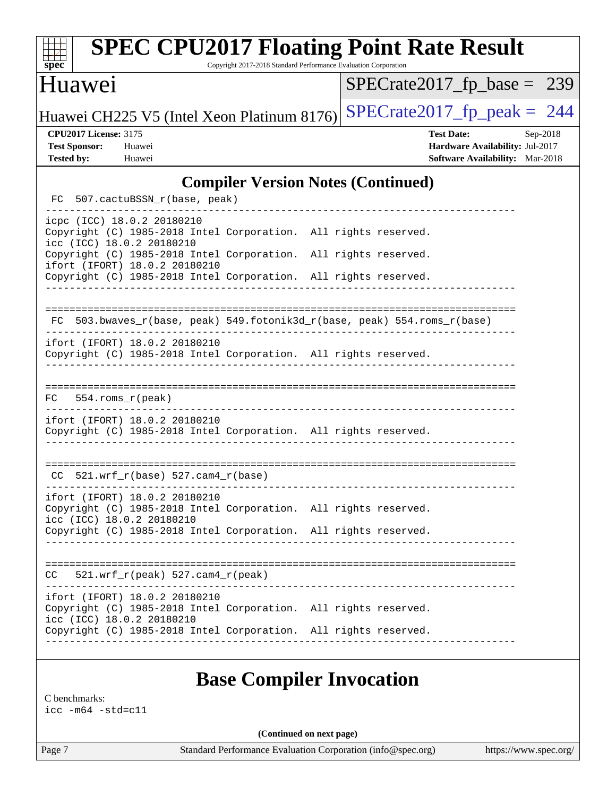| <b>SPEC CPU2017 Floating Point Rate Result</b><br>Copyright 2017-2018 Standard Performance Evaluation Corporation<br>spec <sup>®</sup> |                                                                                                     |  |  |  |  |  |
|----------------------------------------------------------------------------------------------------------------------------------------|-----------------------------------------------------------------------------------------------------|--|--|--|--|--|
| Huawei                                                                                                                                 | $SPECrate2017_fp\_base = 239$                                                                       |  |  |  |  |  |
| $SPECrate2017_fp\_peak = 244$<br>Huawei CH225 V5 (Intel Xeon Platinum 8176)                                                            |                                                                                                     |  |  |  |  |  |
| <b>CPU2017 License: 3175</b><br><b>Test Sponsor:</b><br>Huawei<br><b>Tested by:</b><br>Huawei                                          | <b>Test Date:</b><br>Sep-2018<br>Hardware Availability: Jul-2017<br>Software Availability: Mar-2018 |  |  |  |  |  |
| <b>Compiler Version Notes (Continued)</b>                                                                                              |                                                                                                     |  |  |  |  |  |
| 507.cactuBSSN_r(base, peak)<br>FC.                                                                                                     |                                                                                                     |  |  |  |  |  |
| icpc (ICC) 18.0.2 20180210<br>Copyright (C) 1985-2018 Intel Corporation. All rights reserved.<br>icc (ICC) 18.0.2 20180210             |                                                                                                     |  |  |  |  |  |
| Copyright (C) 1985-2018 Intel Corporation. All rights reserved.<br>ifort (IFORT) 18.0.2 20180210                                       |                                                                                                     |  |  |  |  |  |
| Copyright (C) 1985-2018 Intel Corporation. All rights reserved.                                                                        |                                                                                                     |  |  |  |  |  |
| 503.bwaves_r(base, peak) 549.fotonik3d_r(base, peak) 554.roms_r(base)<br>FC                                                            |                                                                                                     |  |  |  |  |  |
| ifort (IFORT) 18.0.2 20180210<br>Copyright (C) 1985-2018 Intel Corporation. All rights reserved.                                       |                                                                                                     |  |  |  |  |  |
| $554$ .roms $r$ (peak)<br>FC.                                                                                                          |                                                                                                     |  |  |  |  |  |
| ifort (IFORT) 18.0.2 20180210<br>Copyright (C) 1985-2018 Intel Corporation. All rights reserved.                                       |                                                                                                     |  |  |  |  |  |
| $521.wrf_r(base) 527.cam4_r(base)$<br>CC.                                                                                              |                                                                                                     |  |  |  |  |  |
| ifort (IFORT) 18.0.2 20180210<br>Copyright (C) 1985-2018 Intel Corporation. All rights reserved.<br>icc (ICC) 18.0.2 20180210          |                                                                                                     |  |  |  |  |  |
| Copyright (C) 1985-2018 Intel Corporation. All rights reserved.                                                                        |                                                                                                     |  |  |  |  |  |
| $CC = 521.wrf_r(peak) 527.cam4_r(peak)$                                                                                                |                                                                                                     |  |  |  |  |  |
| ifort (IFORT) 18.0.2 20180210<br>Copyright (C) 1985-2018 Intel Corporation. All rights reserved.<br>icc (ICC) 18.0.2 20180210          |                                                                                                     |  |  |  |  |  |
| Copyright (C) 1985-2018 Intel Corporation. All rights reserved.                                                                        |                                                                                                     |  |  |  |  |  |
| <b>Base Compiler Invocation</b>                                                                                                        |                                                                                                     |  |  |  |  |  |
| C benchmarks:<br>$\text{icc}$ -m64 -std=c11                                                                                            |                                                                                                     |  |  |  |  |  |

**(Continued on next page)**

Page 7 Standard Performance Evaluation Corporation [\(info@spec.org\)](mailto:info@spec.org) <https://www.spec.org/>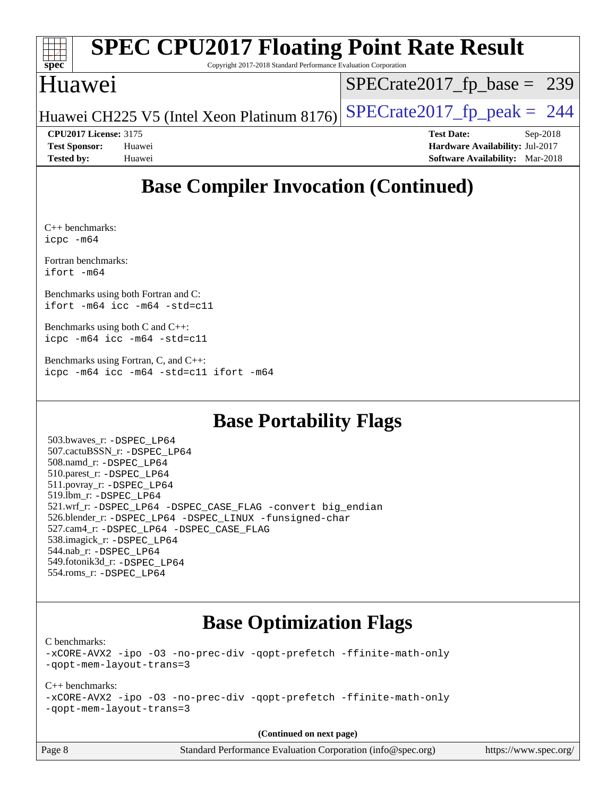| <b>SPEC CPU2017 Floating Point Rate Result</b> |                                                                       |                                                                 |  |                               |                                        |  |
|------------------------------------------------|-----------------------------------------------------------------------|-----------------------------------------------------------------|--|-------------------------------|----------------------------------------|--|
| $Spec^*$                                       |                                                                       | Copyright 2017-2018 Standard Performance Evaluation Corporation |  |                               |                                        |  |
| Huawei                                         |                                                                       |                                                                 |  | $SPECrate2017_fp\_base = 239$ |                                        |  |
|                                                | Huawei CH225 V5 (Intel Xeon Platinum 8176) SPECrate2017_fp_peak = 244 |                                                                 |  |                               |                                        |  |
| <b>CPU2017 License: 3175</b>                   |                                                                       |                                                                 |  | <b>Test Date:</b>             | $Sep-2018$                             |  |
| <b>Test Sponsor:</b>                           | Huawei                                                                |                                                                 |  |                               | Hardware Availability: Jul-2017        |  |
| <b>Tested by:</b>                              | Huawei                                                                |                                                                 |  |                               | <b>Software Availability:</b> Mar-2018 |  |

# **[Base Compiler Invocation \(Continued\)](http://www.spec.org/auto/cpu2017/Docs/result-fields.html#BaseCompilerInvocation)**

[C++ benchmarks](http://www.spec.org/auto/cpu2017/Docs/result-fields.html#CXXbenchmarks): [icpc -m64](http://www.spec.org/cpu2017/results/res2018q4/cpu2017-20180927-08945.flags.html#user_CXXbase_intel_icpc_64bit_4ecb2543ae3f1412ef961e0650ca070fec7b7afdcd6ed48761b84423119d1bf6bdf5cad15b44d48e7256388bc77273b966e5eb805aefd121eb22e9299b2ec9d9)

[Fortran benchmarks](http://www.spec.org/auto/cpu2017/Docs/result-fields.html#Fortranbenchmarks): [ifort -m64](http://www.spec.org/cpu2017/results/res2018q4/cpu2017-20180927-08945.flags.html#user_FCbase_intel_ifort_64bit_24f2bb282fbaeffd6157abe4f878425411749daecae9a33200eee2bee2fe76f3b89351d69a8130dd5949958ce389cf37ff59a95e7a40d588e8d3a57e0c3fd751)

[Benchmarks using both Fortran and C:](http://www.spec.org/auto/cpu2017/Docs/result-fields.html#BenchmarksusingbothFortranandC) [ifort -m64](http://www.spec.org/cpu2017/results/res2018q4/cpu2017-20180927-08945.flags.html#user_CC_FCbase_intel_ifort_64bit_24f2bb282fbaeffd6157abe4f878425411749daecae9a33200eee2bee2fe76f3b89351d69a8130dd5949958ce389cf37ff59a95e7a40d588e8d3a57e0c3fd751) [icc -m64 -std=c11](http://www.spec.org/cpu2017/results/res2018q4/cpu2017-20180927-08945.flags.html#user_CC_FCbase_intel_icc_64bit_c11_33ee0cdaae7deeeab2a9725423ba97205ce30f63b9926c2519791662299b76a0318f32ddfffdc46587804de3178b4f9328c46fa7c2b0cd779d7a61945c91cd35)

[Benchmarks using both C and C++](http://www.spec.org/auto/cpu2017/Docs/result-fields.html#BenchmarksusingbothCandCXX): [icpc -m64](http://www.spec.org/cpu2017/results/res2018q4/cpu2017-20180927-08945.flags.html#user_CC_CXXbase_intel_icpc_64bit_4ecb2543ae3f1412ef961e0650ca070fec7b7afdcd6ed48761b84423119d1bf6bdf5cad15b44d48e7256388bc77273b966e5eb805aefd121eb22e9299b2ec9d9) [icc -m64 -std=c11](http://www.spec.org/cpu2017/results/res2018q4/cpu2017-20180927-08945.flags.html#user_CC_CXXbase_intel_icc_64bit_c11_33ee0cdaae7deeeab2a9725423ba97205ce30f63b9926c2519791662299b76a0318f32ddfffdc46587804de3178b4f9328c46fa7c2b0cd779d7a61945c91cd35)

[Benchmarks using Fortran, C, and C++:](http://www.spec.org/auto/cpu2017/Docs/result-fields.html#BenchmarksusingFortranCandCXX) [icpc -m64](http://www.spec.org/cpu2017/results/res2018q4/cpu2017-20180927-08945.flags.html#user_CC_CXX_FCbase_intel_icpc_64bit_4ecb2543ae3f1412ef961e0650ca070fec7b7afdcd6ed48761b84423119d1bf6bdf5cad15b44d48e7256388bc77273b966e5eb805aefd121eb22e9299b2ec9d9) [icc -m64 -std=c11](http://www.spec.org/cpu2017/results/res2018q4/cpu2017-20180927-08945.flags.html#user_CC_CXX_FCbase_intel_icc_64bit_c11_33ee0cdaae7deeeab2a9725423ba97205ce30f63b9926c2519791662299b76a0318f32ddfffdc46587804de3178b4f9328c46fa7c2b0cd779d7a61945c91cd35) [ifort -m64](http://www.spec.org/cpu2017/results/res2018q4/cpu2017-20180927-08945.flags.html#user_CC_CXX_FCbase_intel_ifort_64bit_24f2bb282fbaeffd6157abe4f878425411749daecae9a33200eee2bee2fe76f3b89351d69a8130dd5949958ce389cf37ff59a95e7a40d588e8d3a57e0c3fd751)

## **[Base Portability Flags](http://www.spec.org/auto/cpu2017/Docs/result-fields.html#BasePortabilityFlags)**

 503.bwaves\_r: [-DSPEC\\_LP64](http://www.spec.org/cpu2017/results/res2018q4/cpu2017-20180927-08945.flags.html#suite_basePORTABILITY503_bwaves_r_DSPEC_LP64) 507.cactuBSSN\_r: [-DSPEC\\_LP64](http://www.spec.org/cpu2017/results/res2018q4/cpu2017-20180927-08945.flags.html#suite_basePORTABILITY507_cactuBSSN_r_DSPEC_LP64) 508.namd\_r: [-DSPEC\\_LP64](http://www.spec.org/cpu2017/results/res2018q4/cpu2017-20180927-08945.flags.html#suite_basePORTABILITY508_namd_r_DSPEC_LP64) 510.parest\_r: [-DSPEC\\_LP64](http://www.spec.org/cpu2017/results/res2018q4/cpu2017-20180927-08945.flags.html#suite_basePORTABILITY510_parest_r_DSPEC_LP64) 511.povray\_r: [-DSPEC\\_LP64](http://www.spec.org/cpu2017/results/res2018q4/cpu2017-20180927-08945.flags.html#suite_basePORTABILITY511_povray_r_DSPEC_LP64) 519.lbm\_r: [-DSPEC\\_LP64](http://www.spec.org/cpu2017/results/res2018q4/cpu2017-20180927-08945.flags.html#suite_basePORTABILITY519_lbm_r_DSPEC_LP64) 521.wrf\_r: [-DSPEC\\_LP64](http://www.spec.org/cpu2017/results/res2018q4/cpu2017-20180927-08945.flags.html#suite_basePORTABILITY521_wrf_r_DSPEC_LP64) [-DSPEC\\_CASE\\_FLAG](http://www.spec.org/cpu2017/results/res2018q4/cpu2017-20180927-08945.flags.html#b521.wrf_r_baseCPORTABILITY_DSPEC_CASE_FLAG) [-convert big\\_endian](http://www.spec.org/cpu2017/results/res2018q4/cpu2017-20180927-08945.flags.html#user_baseFPORTABILITY521_wrf_r_convert_big_endian_c3194028bc08c63ac5d04de18c48ce6d347e4e562e8892b8bdbdc0214820426deb8554edfa529a3fb25a586e65a3d812c835984020483e7e73212c4d31a38223) 526.blender\_r: [-DSPEC\\_LP64](http://www.spec.org/cpu2017/results/res2018q4/cpu2017-20180927-08945.flags.html#suite_basePORTABILITY526_blender_r_DSPEC_LP64) [-DSPEC\\_LINUX](http://www.spec.org/cpu2017/results/res2018q4/cpu2017-20180927-08945.flags.html#b526.blender_r_baseCPORTABILITY_DSPEC_LINUX) [-funsigned-char](http://www.spec.org/cpu2017/results/res2018q4/cpu2017-20180927-08945.flags.html#user_baseCPORTABILITY526_blender_r_force_uchar_40c60f00ab013830e2dd6774aeded3ff59883ba5a1fc5fc14077f794d777847726e2a5858cbc7672e36e1b067e7e5c1d9a74f7176df07886a243d7cc18edfe67) 527.cam4\_r: [-DSPEC\\_LP64](http://www.spec.org/cpu2017/results/res2018q4/cpu2017-20180927-08945.flags.html#suite_basePORTABILITY527_cam4_r_DSPEC_LP64) [-DSPEC\\_CASE\\_FLAG](http://www.spec.org/cpu2017/results/res2018q4/cpu2017-20180927-08945.flags.html#b527.cam4_r_baseCPORTABILITY_DSPEC_CASE_FLAG) 538.imagick\_r: [-DSPEC\\_LP64](http://www.spec.org/cpu2017/results/res2018q4/cpu2017-20180927-08945.flags.html#suite_basePORTABILITY538_imagick_r_DSPEC_LP64) 544.nab\_r: [-DSPEC\\_LP64](http://www.spec.org/cpu2017/results/res2018q4/cpu2017-20180927-08945.flags.html#suite_basePORTABILITY544_nab_r_DSPEC_LP64) 549.fotonik3d\_r: [-DSPEC\\_LP64](http://www.spec.org/cpu2017/results/res2018q4/cpu2017-20180927-08945.flags.html#suite_basePORTABILITY549_fotonik3d_r_DSPEC_LP64) 554.roms\_r: [-DSPEC\\_LP64](http://www.spec.org/cpu2017/results/res2018q4/cpu2017-20180927-08945.flags.html#suite_basePORTABILITY554_roms_r_DSPEC_LP64)

### **[Base Optimization Flags](http://www.spec.org/auto/cpu2017/Docs/result-fields.html#BaseOptimizationFlags)**

[C benchmarks](http://www.spec.org/auto/cpu2017/Docs/result-fields.html#Cbenchmarks):

[-xCORE-AVX2](http://www.spec.org/cpu2017/results/res2018q4/cpu2017-20180927-08945.flags.html#user_CCbase_f-xCORE-AVX2) [-ipo](http://www.spec.org/cpu2017/results/res2018q4/cpu2017-20180927-08945.flags.html#user_CCbase_f-ipo) [-O3](http://www.spec.org/cpu2017/results/res2018q4/cpu2017-20180927-08945.flags.html#user_CCbase_f-O3) [-no-prec-div](http://www.spec.org/cpu2017/results/res2018q4/cpu2017-20180927-08945.flags.html#user_CCbase_f-no-prec-div) [-qopt-prefetch](http://www.spec.org/cpu2017/results/res2018q4/cpu2017-20180927-08945.flags.html#user_CCbase_f-qopt-prefetch) [-ffinite-math-only](http://www.spec.org/cpu2017/results/res2018q4/cpu2017-20180927-08945.flags.html#user_CCbase_f_finite_math_only_cb91587bd2077682c4b38af759c288ed7c732db004271a9512da14a4f8007909a5f1427ecbf1a0fb78ff2a814402c6114ac565ca162485bbcae155b5e4258871) [-qopt-mem-layout-trans=3](http://www.spec.org/cpu2017/results/res2018q4/cpu2017-20180927-08945.flags.html#user_CCbase_f-qopt-mem-layout-trans_de80db37974c74b1f0e20d883f0b675c88c3b01e9d123adea9b28688d64333345fb62bc4a798493513fdb68f60282f9a726aa07f478b2f7113531aecce732043)

#### [C++ benchmarks:](http://www.spec.org/auto/cpu2017/Docs/result-fields.html#CXXbenchmarks)

[-xCORE-AVX2](http://www.spec.org/cpu2017/results/res2018q4/cpu2017-20180927-08945.flags.html#user_CXXbase_f-xCORE-AVX2) [-ipo](http://www.spec.org/cpu2017/results/res2018q4/cpu2017-20180927-08945.flags.html#user_CXXbase_f-ipo) [-O3](http://www.spec.org/cpu2017/results/res2018q4/cpu2017-20180927-08945.flags.html#user_CXXbase_f-O3) [-no-prec-div](http://www.spec.org/cpu2017/results/res2018q4/cpu2017-20180927-08945.flags.html#user_CXXbase_f-no-prec-div) [-qopt-prefetch](http://www.spec.org/cpu2017/results/res2018q4/cpu2017-20180927-08945.flags.html#user_CXXbase_f-qopt-prefetch) [-ffinite-math-only](http://www.spec.org/cpu2017/results/res2018q4/cpu2017-20180927-08945.flags.html#user_CXXbase_f_finite_math_only_cb91587bd2077682c4b38af759c288ed7c732db004271a9512da14a4f8007909a5f1427ecbf1a0fb78ff2a814402c6114ac565ca162485bbcae155b5e4258871) [-qopt-mem-layout-trans=3](http://www.spec.org/cpu2017/results/res2018q4/cpu2017-20180927-08945.flags.html#user_CXXbase_f-qopt-mem-layout-trans_de80db37974c74b1f0e20d883f0b675c88c3b01e9d123adea9b28688d64333345fb62bc4a798493513fdb68f60282f9a726aa07f478b2f7113531aecce732043)

**(Continued on next page)**

Page 8 Standard Performance Evaluation Corporation [\(info@spec.org\)](mailto:info@spec.org) <https://www.spec.org/>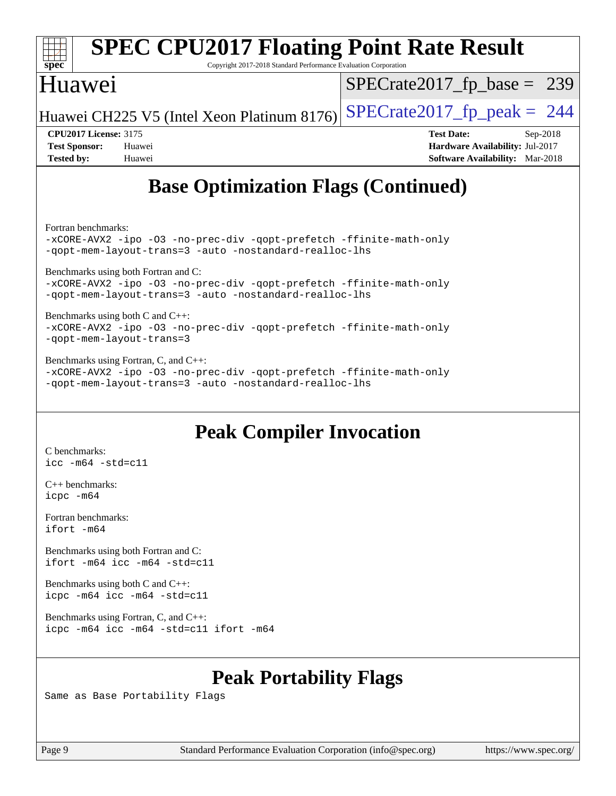| <b>SPEC CPU2017 Floating Point Rate Result</b><br>Copyright 2017-2018 Standard Performance Evaluation Corporation<br>spec <sup>®</sup>               |                                        |  |  |  |  |
|------------------------------------------------------------------------------------------------------------------------------------------------------|----------------------------------------|--|--|--|--|
| Huawei                                                                                                                                               | $SPECrate2017_fp\_base = 239$          |  |  |  |  |
| Huawei CH225 V5 (Intel Xeon Platinum 8176)                                                                                                           | $SPECrate2017_fp\_peak = 244$          |  |  |  |  |
| <b>CPU2017 License: 3175</b>                                                                                                                         | <b>Test Date:</b><br>$Sep-2018$        |  |  |  |  |
| <b>Test Sponsor:</b><br>Huawei                                                                                                                       | Hardware Availability: Jul-2017        |  |  |  |  |
| <b>Tested by:</b><br>Huawei                                                                                                                          | <b>Software Availability:</b> Mar-2018 |  |  |  |  |
| <b>Base Optimization Flags (Continued)</b>                                                                                                           |                                        |  |  |  |  |
| Fortran benchmarks:<br>-xCORE-AVX2 -ipo -03 -no-prec-div -qopt-prefetch -ffinite-math-only<br>-qopt-mem-layout-trans=3 -auto -nostandard-realloc-lhs |                                        |  |  |  |  |

[Benchmarks using both Fortran and C](http://www.spec.org/auto/cpu2017/Docs/result-fields.html#BenchmarksusingbothFortranandC):

[-xCORE-AVX2](http://www.spec.org/cpu2017/results/res2018q4/cpu2017-20180927-08945.flags.html#user_CC_FCbase_f-xCORE-AVX2) [-ipo](http://www.spec.org/cpu2017/results/res2018q4/cpu2017-20180927-08945.flags.html#user_CC_FCbase_f-ipo) [-O3](http://www.spec.org/cpu2017/results/res2018q4/cpu2017-20180927-08945.flags.html#user_CC_FCbase_f-O3) [-no-prec-div](http://www.spec.org/cpu2017/results/res2018q4/cpu2017-20180927-08945.flags.html#user_CC_FCbase_f-no-prec-div) [-qopt-prefetch](http://www.spec.org/cpu2017/results/res2018q4/cpu2017-20180927-08945.flags.html#user_CC_FCbase_f-qopt-prefetch) [-ffinite-math-only](http://www.spec.org/cpu2017/results/res2018q4/cpu2017-20180927-08945.flags.html#user_CC_FCbase_f_finite_math_only_cb91587bd2077682c4b38af759c288ed7c732db004271a9512da14a4f8007909a5f1427ecbf1a0fb78ff2a814402c6114ac565ca162485bbcae155b5e4258871) [-qopt-mem-layout-trans=3](http://www.spec.org/cpu2017/results/res2018q4/cpu2017-20180927-08945.flags.html#user_CC_FCbase_f-qopt-mem-layout-trans_de80db37974c74b1f0e20d883f0b675c88c3b01e9d123adea9b28688d64333345fb62bc4a798493513fdb68f60282f9a726aa07f478b2f7113531aecce732043) [-auto](http://www.spec.org/cpu2017/results/res2018q4/cpu2017-20180927-08945.flags.html#user_CC_FCbase_f-auto) [-nostandard-realloc-lhs](http://www.spec.org/cpu2017/results/res2018q4/cpu2017-20180927-08945.flags.html#user_CC_FCbase_f_2003_std_realloc_82b4557e90729c0f113870c07e44d33d6f5a304b4f63d4c15d2d0f1fab99f5daaed73bdb9275d9ae411527f28b936061aa8b9c8f2d63842963b95c9dd6426b8a)

[Benchmarks using both C and C++](http://www.spec.org/auto/cpu2017/Docs/result-fields.html#BenchmarksusingbothCandCXX): [-xCORE-AVX2](http://www.spec.org/cpu2017/results/res2018q4/cpu2017-20180927-08945.flags.html#user_CC_CXXbase_f-xCORE-AVX2) [-ipo](http://www.spec.org/cpu2017/results/res2018q4/cpu2017-20180927-08945.flags.html#user_CC_CXXbase_f-ipo) [-O3](http://www.spec.org/cpu2017/results/res2018q4/cpu2017-20180927-08945.flags.html#user_CC_CXXbase_f-O3) [-no-prec-div](http://www.spec.org/cpu2017/results/res2018q4/cpu2017-20180927-08945.flags.html#user_CC_CXXbase_f-no-prec-div) [-qopt-prefetch](http://www.spec.org/cpu2017/results/res2018q4/cpu2017-20180927-08945.flags.html#user_CC_CXXbase_f-qopt-prefetch) [-ffinite-math-only](http://www.spec.org/cpu2017/results/res2018q4/cpu2017-20180927-08945.flags.html#user_CC_CXXbase_f_finite_math_only_cb91587bd2077682c4b38af759c288ed7c732db004271a9512da14a4f8007909a5f1427ecbf1a0fb78ff2a814402c6114ac565ca162485bbcae155b5e4258871) [-qopt-mem-layout-trans=3](http://www.spec.org/cpu2017/results/res2018q4/cpu2017-20180927-08945.flags.html#user_CC_CXXbase_f-qopt-mem-layout-trans_de80db37974c74b1f0e20d883f0b675c88c3b01e9d123adea9b28688d64333345fb62bc4a798493513fdb68f60282f9a726aa07f478b2f7113531aecce732043)

[Benchmarks using Fortran, C, and C++:](http://www.spec.org/auto/cpu2017/Docs/result-fields.html#BenchmarksusingFortranCandCXX) [-xCORE-AVX2](http://www.spec.org/cpu2017/results/res2018q4/cpu2017-20180927-08945.flags.html#user_CC_CXX_FCbase_f-xCORE-AVX2) [-ipo](http://www.spec.org/cpu2017/results/res2018q4/cpu2017-20180927-08945.flags.html#user_CC_CXX_FCbase_f-ipo) [-O3](http://www.spec.org/cpu2017/results/res2018q4/cpu2017-20180927-08945.flags.html#user_CC_CXX_FCbase_f-O3) [-no-prec-div](http://www.spec.org/cpu2017/results/res2018q4/cpu2017-20180927-08945.flags.html#user_CC_CXX_FCbase_f-no-prec-div) [-qopt-prefetch](http://www.spec.org/cpu2017/results/res2018q4/cpu2017-20180927-08945.flags.html#user_CC_CXX_FCbase_f-qopt-prefetch) [-ffinite-math-only](http://www.spec.org/cpu2017/results/res2018q4/cpu2017-20180927-08945.flags.html#user_CC_CXX_FCbase_f_finite_math_only_cb91587bd2077682c4b38af759c288ed7c732db004271a9512da14a4f8007909a5f1427ecbf1a0fb78ff2a814402c6114ac565ca162485bbcae155b5e4258871) [-qopt-mem-layout-trans=3](http://www.spec.org/cpu2017/results/res2018q4/cpu2017-20180927-08945.flags.html#user_CC_CXX_FCbase_f-qopt-mem-layout-trans_de80db37974c74b1f0e20d883f0b675c88c3b01e9d123adea9b28688d64333345fb62bc4a798493513fdb68f60282f9a726aa07f478b2f7113531aecce732043) [-auto](http://www.spec.org/cpu2017/results/res2018q4/cpu2017-20180927-08945.flags.html#user_CC_CXX_FCbase_f-auto) [-nostandard-realloc-lhs](http://www.spec.org/cpu2017/results/res2018q4/cpu2017-20180927-08945.flags.html#user_CC_CXX_FCbase_f_2003_std_realloc_82b4557e90729c0f113870c07e44d33d6f5a304b4f63d4c15d2d0f1fab99f5daaed73bdb9275d9ae411527f28b936061aa8b9c8f2d63842963b95c9dd6426b8a)

# **[Peak Compiler Invocation](http://www.spec.org/auto/cpu2017/Docs/result-fields.html#PeakCompilerInvocation)**

[C benchmarks](http://www.spec.org/auto/cpu2017/Docs/result-fields.html#Cbenchmarks): [icc -m64 -std=c11](http://www.spec.org/cpu2017/results/res2018q4/cpu2017-20180927-08945.flags.html#user_CCpeak_intel_icc_64bit_c11_33ee0cdaae7deeeab2a9725423ba97205ce30f63b9926c2519791662299b76a0318f32ddfffdc46587804de3178b4f9328c46fa7c2b0cd779d7a61945c91cd35)

[C++ benchmarks:](http://www.spec.org/auto/cpu2017/Docs/result-fields.html#CXXbenchmarks) [icpc -m64](http://www.spec.org/cpu2017/results/res2018q4/cpu2017-20180927-08945.flags.html#user_CXXpeak_intel_icpc_64bit_4ecb2543ae3f1412ef961e0650ca070fec7b7afdcd6ed48761b84423119d1bf6bdf5cad15b44d48e7256388bc77273b966e5eb805aefd121eb22e9299b2ec9d9)

[Fortran benchmarks](http://www.spec.org/auto/cpu2017/Docs/result-fields.html#Fortranbenchmarks): [ifort -m64](http://www.spec.org/cpu2017/results/res2018q4/cpu2017-20180927-08945.flags.html#user_FCpeak_intel_ifort_64bit_24f2bb282fbaeffd6157abe4f878425411749daecae9a33200eee2bee2fe76f3b89351d69a8130dd5949958ce389cf37ff59a95e7a40d588e8d3a57e0c3fd751)

[Benchmarks using both Fortran and C](http://www.spec.org/auto/cpu2017/Docs/result-fields.html#BenchmarksusingbothFortranandC): [ifort -m64](http://www.spec.org/cpu2017/results/res2018q4/cpu2017-20180927-08945.flags.html#user_CC_FCpeak_intel_ifort_64bit_24f2bb282fbaeffd6157abe4f878425411749daecae9a33200eee2bee2fe76f3b89351d69a8130dd5949958ce389cf37ff59a95e7a40d588e8d3a57e0c3fd751) [icc -m64 -std=c11](http://www.spec.org/cpu2017/results/res2018q4/cpu2017-20180927-08945.flags.html#user_CC_FCpeak_intel_icc_64bit_c11_33ee0cdaae7deeeab2a9725423ba97205ce30f63b9926c2519791662299b76a0318f32ddfffdc46587804de3178b4f9328c46fa7c2b0cd779d7a61945c91cd35)

[Benchmarks using both C and C++](http://www.spec.org/auto/cpu2017/Docs/result-fields.html#BenchmarksusingbothCandCXX): [icpc -m64](http://www.spec.org/cpu2017/results/res2018q4/cpu2017-20180927-08945.flags.html#user_CC_CXXpeak_intel_icpc_64bit_4ecb2543ae3f1412ef961e0650ca070fec7b7afdcd6ed48761b84423119d1bf6bdf5cad15b44d48e7256388bc77273b966e5eb805aefd121eb22e9299b2ec9d9) [icc -m64 -std=c11](http://www.spec.org/cpu2017/results/res2018q4/cpu2017-20180927-08945.flags.html#user_CC_CXXpeak_intel_icc_64bit_c11_33ee0cdaae7deeeab2a9725423ba97205ce30f63b9926c2519791662299b76a0318f32ddfffdc46587804de3178b4f9328c46fa7c2b0cd779d7a61945c91cd35)

[Benchmarks using Fortran, C, and C++:](http://www.spec.org/auto/cpu2017/Docs/result-fields.html#BenchmarksusingFortranCandCXX) [icpc -m64](http://www.spec.org/cpu2017/results/res2018q4/cpu2017-20180927-08945.flags.html#user_CC_CXX_FCpeak_intel_icpc_64bit_4ecb2543ae3f1412ef961e0650ca070fec7b7afdcd6ed48761b84423119d1bf6bdf5cad15b44d48e7256388bc77273b966e5eb805aefd121eb22e9299b2ec9d9) [icc -m64 -std=c11](http://www.spec.org/cpu2017/results/res2018q4/cpu2017-20180927-08945.flags.html#user_CC_CXX_FCpeak_intel_icc_64bit_c11_33ee0cdaae7deeeab2a9725423ba97205ce30f63b9926c2519791662299b76a0318f32ddfffdc46587804de3178b4f9328c46fa7c2b0cd779d7a61945c91cd35) [ifort -m64](http://www.spec.org/cpu2017/results/res2018q4/cpu2017-20180927-08945.flags.html#user_CC_CXX_FCpeak_intel_ifort_64bit_24f2bb282fbaeffd6157abe4f878425411749daecae9a33200eee2bee2fe76f3b89351d69a8130dd5949958ce389cf37ff59a95e7a40d588e8d3a57e0c3fd751)

# **[Peak Portability Flags](http://www.spec.org/auto/cpu2017/Docs/result-fields.html#PeakPortabilityFlags)**

Same as Base Portability Flags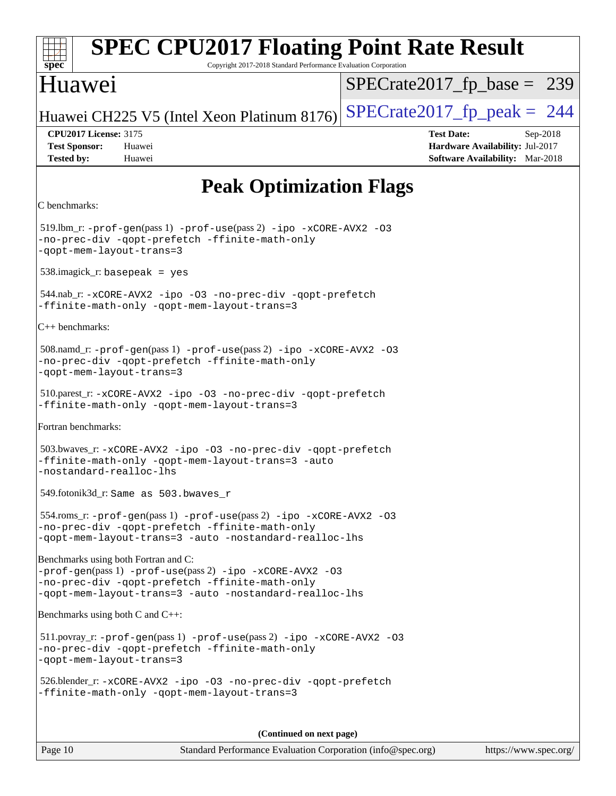| <b>SPEC CPU2017 Floating Point Rate Result</b><br>Copyright 2017-2018 Standard Performance Evaluation Corporation<br>$spec^*$                                                                                |                                                                                                            |  |  |  |  |  |  |
|--------------------------------------------------------------------------------------------------------------------------------------------------------------------------------------------------------------|------------------------------------------------------------------------------------------------------------|--|--|--|--|--|--|
| Huawei                                                                                                                                                                                                       | $SPECrate2017_fp\_base = 239$                                                                              |  |  |  |  |  |  |
| Huawei CH225 V5 (Intel Xeon Platinum 8176)                                                                                                                                                                   | $SPECrate2017_fp\_peak = 244$                                                                              |  |  |  |  |  |  |
| <b>CPU2017 License: 3175</b><br><b>Test Sponsor:</b><br>Huawei<br><b>Tested by:</b><br>Huawei                                                                                                                | <b>Test Date:</b><br>Sep-2018<br>Hardware Availability: Jul-2017<br><b>Software Availability:</b> Mar-2018 |  |  |  |  |  |  |
| <b>Peak Optimization Flags</b>                                                                                                                                                                               |                                                                                                            |  |  |  |  |  |  |
| C benchmarks:                                                                                                                                                                                                |                                                                                                            |  |  |  |  |  |  |
| 519.lbm_r: -prof-gen(pass 1) -prof-use(pass 2) -ipo -xCORE-AVX2 -03<br>-no-prec-div -qopt-prefetch -ffinite-math-only<br>-qopt-mem-layout-trans=3                                                            |                                                                                                            |  |  |  |  |  |  |
| $538.\text{imagek}_r$ : basepeak = yes                                                                                                                                                                       |                                                                                                            |  |  |  |  |  |  |
| 544.nab_r:-xCORE-AVX2 -ipo -03 -no-prec-div -qopt-prefetch<br>-ffinite-math-only -qopt-mem-layout-trans=3                                                                                                    |                                                                                                            |  |  |  |  |  |  |
| $C++$ benchmarks:                                                                                                                                                                                            |                                                                                                            |  |  |  |  |  |  |
| 508.namd_r: -prof-gen(pass 1) -prof-use(pass 2) -ipo -xCORE-AVX2 -03<br>-no-prec-div -qopt-prefetch -ffinite-math-only<br>-qopt-mem-layout-trans=3                                                           |                                                                                                            |  |  |  |  |  |  |
| 510.parest_r:-xCORE-AVX2 -ipo -03 -no-prec-div -qopt-prefetch<br>-ffinite-math-only -qopt-mem-layout-trans=3                                                                                                 |                                                                                                            |  |  |  |  |  |  |
| Fortran benchmarks:                                                                                                                                                                                          |                                                                                                            |  |  |  |  |  |  |
| 503.bwaves_r: -xCORE-AVX2 -ipo -03 -no-prec-div -qopt-prefetch<br>-ffinite-math-only -qopt-mem-layout-trans=3 -auto<br>-nostandard-realloc-lhs                                                               |                                                                                                            |  |  |  |  |  |  |
| 549.fotonik3d_r: Same as 503.bwaves_r                                                                                                                                                                        |                                                                                                            |  |  |  |  |  |  |
| $554 \cdot \text{rows}$ : -prof-gen(pass 1) -prof-use(pass 2) -ipo -xCORE-AVX2 -03<br>-no-prec-div -qopt-prefetch -ffinite-math-only<br>-qopt-mem-layout-trans=3 -auto -nostandard-realloc-lhs               |                                                                                                            |  |  |  |  |  |  |
| Benchmarks using both Fortran and C:<br>-prof-gen(pass 1) -prof-use(pass 2) -ipo -xCORE-AVX2 -03<br>-no-prec-div -qopt-prefetch -ffinite-math-only<br>-qopt-mem-layout-trans=3 -auto -nostandard-realloc-lhs |                                                                                                            |  |  |  |  |  |  |
| Benchmarks using both C and C++:                                                                                                                                                                             |                                                                                                            |  |  |  |  |  |  |
| $511.$ povray_r: -prof-gen(pass 1) -prof-use(pass 2) -ipo -xCORE-AVX2 -03<br>-no-prec-div -qopt-prefetch -ffinite-math-only<br>-qopt-mem-layout-trans=3                                                      |                                                                                                            |  |  |  |  |  |  |
| 526.blender_r: -xCORE-AVX2 -ipo -03 -no-prec-div -qopt-prefetch<br>-ffinite-math-only -qopt-mem-layout-trans=3                                                                                               |                                                                                                            |  |  |  |  |  |  |
| (Continued on next page)                                                                                                                                                                                     |                                                                                                            |  |  |  |  |  |  |
| Page 10<br>Standard Performance Evaluation Corporation (info@spec.org)                                                                                                                                       | https://www.spec.org/                                                                                      |  |  |  |  |  |  |